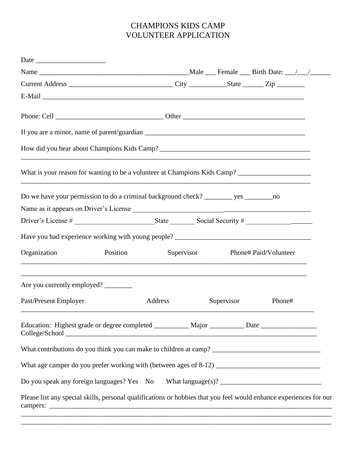## CHAMPIONS KIDS CAMP VOLUNTEER APPLICATION

| Current Address _________________________________City ______________State ________Zip ______________               |            |            |                       |  |
|--------------------------------------------------------------------------------------------------------------------|------------|------------|-----------------------|--|
|                                                                                                                    |            |            |                       |  |
|                                                                                                                    |            |            |                       |  |
|                                                                                                                    |            |            |                       |  |
|                                                                                                                    |            |            |                       |  |
| ,我们也不能在这里的时候,我们也不能在这里的时候,我们也不能会在这里的时候,我们也不能会在这里的时候,我们也不能会在这里的时候,我们也不能会在这里的时候,我们也不                                  |            |            |                       |  |
|                                                                                                                    |            |            |                       |  |
|                                                                                                                    |            |            |                       |  |
|                                                                                                                    |            |            |                       |  |
|                                                                                                                    |            |            |                       |  |
| Organization<br>Position                                                                                           | Supervisor |            | Phone# Paid/Volunteer |  |
| Are you currently employed?                                                                                        |            |            |                       |  |
| Past/Present Employer                                                                                              | Address    | Supervisor | Phone#                |  |
| Education: Highest grade or degree completed __________ Major _________ Date _______________________               |            |            |                       |  |
|                                                                                                                    |            |            |                       |  |
|                                                                                                                    |            |            |                       |  |
| Do you speak any foreign languages? Yes No What language(s)? ____________________                                  |            |            |                       |  |
| Please list any special skills, personal qualifications or hobbies that you feel would enhance experiences for our |            |            |                       |  |

\_\_\_\_\_\_\_\_\_\_\_\_\_\_\_\_\_\_\_\_\_\_\_\_\_\_\_\_\_\_\_\_\_\_\_\_\_\_\_\_\_\_\_\_\_\_\_\_\_\_\_\_\_\_\_\_\_\_\_\_\_\_\_\_\_\_\_\_\_\_\_\_\_\_\_\_\_\_\_\_\_\_\_\_\_\_\_\_\_